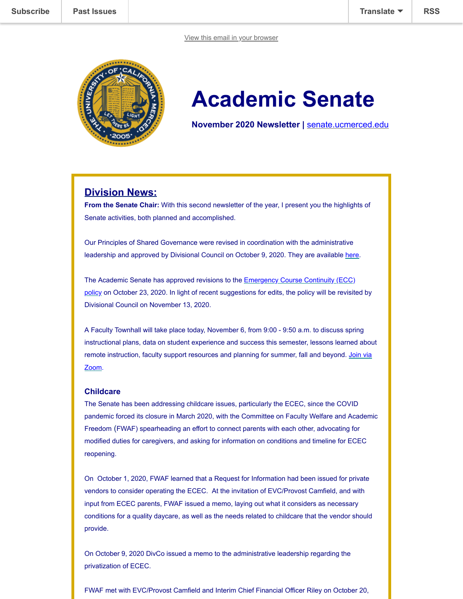

# **Academic Senate**

**November 2020 Newsletter |** [senate.ucmerced.edu](http://senate.ucmerced.edu/)

# **Division News:**

**From the Senate Chair:** With this second newsletter of the year, I present you the highlights of Senate activities, both planned and accomplished.

Our Principles of Shared Governance were revised in coordination with the administrative leadership and approved by Divisional Council on October 9, 2020. They are available [here](https://senate.ucmerced.edu/shared-governance-principles).

The Academic Senate has approved revisions to the **Emergency Course Continuity (ECC)** [policy on October 23, 2020. In light of recent suggestions for edits, the policy will be revisite](https://senate.ucmerced.edu/sites/senate.ucmerced.edu/files/documents/emergency_course_continuity_policy_approved_10.23.20.pdf)d by Divisional Council on November 13, 2020.

A Faculty Townhall will take place today, November 6, from 9:00 - 9:50 a.m. to discuss spring instructional plans, data on student experience and success this semester, lessons learned about [remote instruction, faculty support resources and planning for summer, fall and beyond. Join via](http://r20.rs6.net/tn.jsp?f=001PaDoOptnioLgUmk8fg7kn7nsb5DpXDiaz-VKyAuOonjYPlFKFkwWcC32Sr-NHJxPnWb8XOgPHE9BGfVz0Vax7C_TKUDS90T82eT6AYWTxabT_IuuTpfcfxl7eYrwVJfCBDhBdRlS96OOuBuYCZZjETUX4K5WdPblSk51FhevS3U=&c=jw4BHvvGslvh2ozpfisoKPyRKV2zeA9IGLR-iJFwxkb4c7et6Z94uA==&ch=A7b4eGtV3jMhkHN1lOpvSTu6PMEbgAlKt0EaAYErvGEmnSYTzCI4XQ==) Zoom.

#### **Childcare**

The Senate has been addressing childcare issues, particularly the ECEC, since the COVID pandemic forced its closure in March 2020, with the Committee on Faculty Welfare and Academic Freedom (FWAF) spearheading an effort to connect parents with each other, advocating for modified duties for caregivers, and asking for information on conditions and timeline for ECEC reopening.

On October 1, 2020, FWAF learned that a Request for Information had been issued for private vendors to consider operating the ECEC. At the invitation of EVC/Provost Camfield, and with input from ECEC parents, FWAF issued a memo, laying out what it considers as necessary conditions for a quality daycare, as well as the needs related to childcare that the vendor should provide.

On October 9, 2020 DivCo issued a memo to the administrative leadership regarding the privatization of ECEC.

FWAF met with EVC/Provost Camfield and Interim Chief Financial Officer Riley on October 20,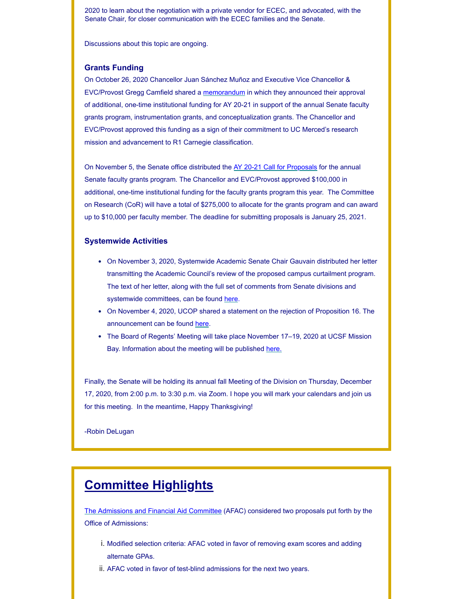[2020 to learn a](https://us18.campaign-archive.com/home/?u=7a4be5fc797127c29f7d3935b&id=ca060935f8)bout the negotiation with a private vendor for ECEC, and advocated, wit[h the](javascript:;) Senate Chair, for closer communication with the ECEC families and the Senate.

Discussions about this topic are ongoing.

#### **Grants Funding**

On October 26, 2020 Chancellor Juan Sánchez Muñoz and Executive Vice Chancellor & EVC/Provost Gregg Camfield shared a [memorandum](https://ucmerced.box.com/s/x7gjk7n3u3aul4tnprt2s6m9ru82qyg7) in which they announced their approval of additional, one-time institutional funding for AY 20-21 in support of the annual Senate faculty grants program, instrumentation grants, and conceptualization grants. The Chancellor and EVC/Provost approved this funding as a sign of their commitment to UC Merced's research mission and advancement to R1 Carnegie classification.

On November 5, the Senate office distributed the [AY 20-21 Call for Proposals](https://senate.ucmerced.edu/sites/senate.ucmerced.edu/files/news/documents/call_for_proposals_for_faculty_research_grants_2021_final.pdf) for the annual Senate faculty grants program. The Chancellor and EVC/Provost approved \$100,000 in additional, one-time institutional funding for the faculty grants program this year. The Committee on Research (CoR) will have a total of \$275,000 to allocate for the grants program and can award up to \$10,000 per faculty member. The deadline for submitting proposals is January 25, 2021.

#### **Systemwide Activities**

- On November 3, 2020, Systemwide Academic Senate Chair Gauvain distributed her letter transmitting the Academic Council's review of the proposed campus curtailment program. The text of her letter, along with the full set of comments from Senate divisions and systemwide committees, can be found [here.](https://ucmerced.box.com/s/66tfnb886gex0okuqhfgkjbcvobyf6je)
- On November 4, 2020, UCOP shared a statement on the rejection of Proposition 16. The announcement can be found [here](https://www.universityofcalifornia.edu/press-room/uc-continue-champion-diverse-student-body-despite-rejection-proposition-16).
- The Board of Regents' Meeting will take place November 17–19, 2020 at UCSF Mission Bay. Information about the meeting will be published [here.](https://regents.universityofcalifornia.edu/meetings/index.html)

Finally, the Senate will be holding its annual fall Meeting of the Division on Thursday, December 17, 2020, from 2:00 p.m. to 3:30 p.m. via Zoom. I hope you will mark your calendars and join us for this meeting. In the meantime, Happy Thanksgiving!

-Robin DeLugan

# **Committee Highlights**

[The Admissions and Financial Aid Committee](https://senate.ucmerced.edu/committees/admissions-financial-aid-committee-afac) (AFAC) considered two proposals put forth by the Office of Admissions:

- i. Modified selection criteria: AFAC voted in favor of removing exam scores and adding alternate GPAs.
- ii. AFAC voted in favor of test-blind admissions for the next two years.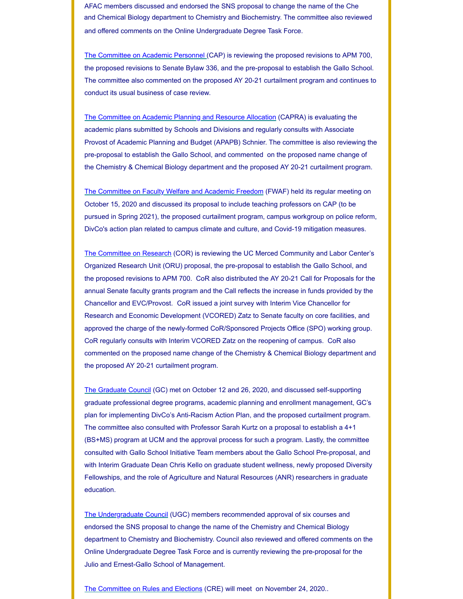AFAC members discussed and endorsed the SNS proposal to change the name of the Che [and Chemical B](https://us18.campaign-archive.com/home/?u=7a4be5fc797127c29f7d3935b&id=ca060935f8)iology department to Chemistry and Biochemistry. The committee also r[eviewed](javascript:;) and offered comments on the Online Undergraduate Degree Task Force.

[The Committee on Academic Personnel](https://senate.ucmerced.edu/CAP) (CAP) is reviewing the proposed revisions to APM 700, the proposed revisions to Senate Bylaw 336, and the pre-proposal to establish the Gallo School. The committee also commented on the proposed AY 20-21 curtailment program and continues to conduct its usual business of case review.

[The Committee on Academic Planning and Resource Allocation](https://senate.ucmerced.edu/CAPRA) (CAPRA) is evaluating the academic plans submitted by Schools and Divisions and regularly consults with Associate Provost of Academic Planning and Budget (APAPB) Schnier. The committee is also reviewing the pre-proposal to establish the Gallo School, and commented on the proposed name change of the Chemistry & Chemical Biology department and the proposed AY 20-21 curtailment program.

[The Committee on Faculty Welfare and Academic Freedom](https://senate.ucmerced.edu/FWAF) (FWAF) held its regular meeting on October 15, 2020 and discussed its proposal to include teaching professors on CAP (to be pursued in Spring 2021), the proposed curtailment program, campus workgroup on police reform, DivCo's action plan related to campus climate and culture, and Covid-19 mitigation measures.

[The Committee on Research](https://senate.ucmerced.edu/COR) (COR) is reviewing the UC Merced Community and Labor Center's Organized Research Unit (ORU) proposal, the pre-proposal to establish the Gallo School, and the proposed revisions to APM 700. CoR also distributed the AY 20-21 Call for Proposals for the annual Senate faculty grants program and the Call reflects the increase in funds provided by the Chancellor and EVC/Provost. CoR issued a joint survey with Interim Vice Chancellor for Research and Economic Development (VCORED) Zatz to Senate faculty on core facilities, and approved the charge of the newly-formed CoR/Sponsored Projects Office (SPO) working group. CoR regularly consults with Interim VCORED Zatz on the reopening of campus. CoR also commented on the proposed name change of the Chemistry & Chemical Biology department and the proposed AY 20-21 curtailment program.

[The Graduate Council](https://senate.ucmerced.edu/GC) (GC) met on October 12 and 26, 2020, and discussed self-supporting graduate professional degree programs, academic planning and enrollment management, GC's plan for implementing DivCo's Anti-Racism Action Plan, and the proposed curtailment program. The committee also consulted with Professor Sarah Kurtz on a proposal to establish a 4+1 (BS+MS) program at UCM and the approval process for such a program. Lastly, the committee consulted with Gallo School Initiative Team members about the Gallo School Pre-proposal, and with Interim Graduate Dean Chris Kello on graduate student wellness, newly proposed Diversity Fellowships, and the role of Agriculture and Natural Resources (ANR) researchers in graduate education.

[The Undergraduate Council](https://senate.ucmerced.edu/UGC) (UGC) members recommended approval of six courses and endorsed the SNS proposal to change the name of the Chemistry and Chemical Biology department to Chemistry and Biochemistry. Council also reviewed and offered comments on the Online Undergraduate Degree Task Force and is currently reviewing the pre-proposal for the Julio and Ernest-Gallo School of Management.

[The Committee on Rules and Elections](https://senate.ucmerced.edu/CRE) (CRE) will meet on November 24, 2020..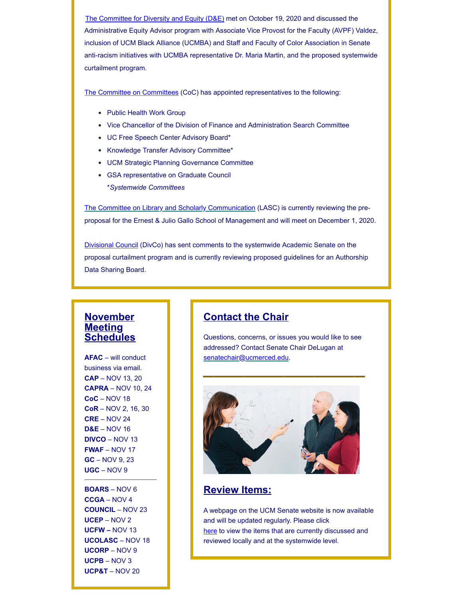Administrative Equity Advisor program with Associate Vice Provost for the Faculty (AVPF) Valdez, inclusion of UCM Black Alliance (UCMBA) and Staff and Faculty of Color Association in Senate anti-racism initiatives with UCMBA representative Dr. Maria Martin, and the proposed systemwide curtailment program. [The Committe](https://us18.campaign-archive.com/home/?u=7a4be5fc797127c29f7d3935b&id=ca060935f8)[e for Diversity and Equity \(D&E\)](https://senate.ucmerced.edu/DE) met on October 19, 2020 and discussed [the](javascript:;)

[The Committee on Committees](https://senate.ucmerced.edu/COC) (CoC) has appointed representatives to the following:

- Public Health Work Group
- Vice Chancellor of the Division of Finance and Administration Search Committee
- UC Free Speech Center Advisory Board\*
- Knowledge Transfer Advisory Committee\*
- UCM Strategic Planning Governance Committee
- GSA representative on Graduate Council \**Systemwide Committees*

[The Committee on Library and Scholarly Communication](https://senate.ucmerced.edu/LASC) (LASC) is currently reviewing the preproposal for the Ernest & Julio Gallo School of Management and will meet on December 1, 2020.

[Divisional Council](https://senate.ucmerced.edu/DivCo) (DivCo) has sent comments to the systemwide Academic Senate on the proposal curtailment program and is currently reviewing proposed guidelines for an Authorship Data Sharing Board.

## **November Meeting Schedules**

**AFAC** – will conduct business via email. **CAP** – NOV 13, 20 **CAPRA** – NOV 10, 24 **CoC** – NOV 18 **CoR** – NOV 2, 16, 30 **CRE** – NOV 24 **D&E** – NOV 16 **DIVCO** – NOV 13 **FWAF** – NOV 17 **GC** – NOV 9, 23 **UGC** – NOV 9

**BOARS** – NOV 6 **CCGA** – NOV 4 **COUNCIL** – NOV 23 **UCEP** – NOV 2 **UCFW –** NOV 13 **UCOLASC** – NOV 18 **UCORP** – NOV 9 **UCPB** – NOV 3 **UCP&T** – NOV 20

# **Contact the Chair**

Questions, concerns, or issues you would like to see addressed? Contact Senate Chair DeLugan at [senatechair@ucmerced.edu.](http://senatechair@ucmerced.edu/) **\_\_\_\_\_\_\_\_\_\_\_\_\_\_\_\_**



## **Review Items:**

A webpage on the UCM Senate website is now available and will be updated regularly. Please click [here](https://senate.ucmerced.edu/review-items) to view the items that are currently discussed and reviewed locally and at the systemwide level.